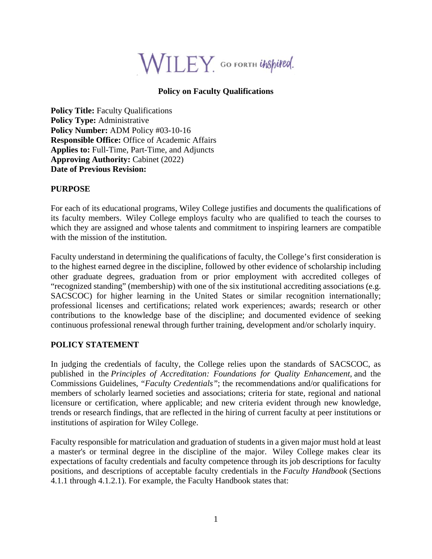

## **Policy on Faculty Qualifications**

**Policy Title:** Faculty Qualifications **Policy Type:** Administrative Policy Number: ADM Policy #03-10-16 **Responsible Office:** Office of Academic Affairs **Applies to:** Full-Time, Part-Time, and Adjuncts **Approving Authority:** Cabinet (2022) **Date of Previous Revision:** 

## **PURPOSE**

For each of its educational programs, Wiley College justifies and documents the qualifications of its faculty members. Wiley College employs faculty who are qualified to teach the courses to which they are assigned and whose talents and commitment to inspiring learners are compatible with the mission of the institution.

Faculty understand in determining the qualifications of faculty, the College's first consideration is to the highest earned degree in the discipline, followed by other evidence of scholarship including other graduate degrees, graduation from or prior employment with accredited colleges of "recognized standing" (membership) with one of the six institutional accrediting associations (e.g. SACSCOC) for higher learning in the United States or similar recognition internationally; professional licenses and certifications; related work experiences; awards; research or other contributions to the knowledge base of the discipline; and documented evidence of seeking continuous professional renewal through further training, development and/or scholarly inquiry.

## **POLICY STATEMENT**

In judging the credentials of faculty, the College relies upon the standards of SACSCOC, as published in the *Principles of Accreditation: Foundations for Quality Enhancement,* and the Commissions Guidelines, *"Faculty Credentials"*; the recommendations and/or qualifications for members of scholarly learned societies and associations; criteria for state, regional and national licensure or certification, where applicable; and new criteria evident through new knowledge, trends or research findings, that are reflected in the hiring of current faculty at peer institutions or institutions of aspiration for Wiley College.

Faculty responsible for matriculation and graduation of students in a given major must hold at least a master's or terminal degree in the discipline of the major. Wiley College makes clear its expectations of faculty credentials and faculty competence through its job descriptions for faculty positions, and descriptions of acceptable faculty credentials in the *Faculty Handbook* (Sections 4.1.1 through 4.1.2.1). For example, the Faculty Handbook states that: